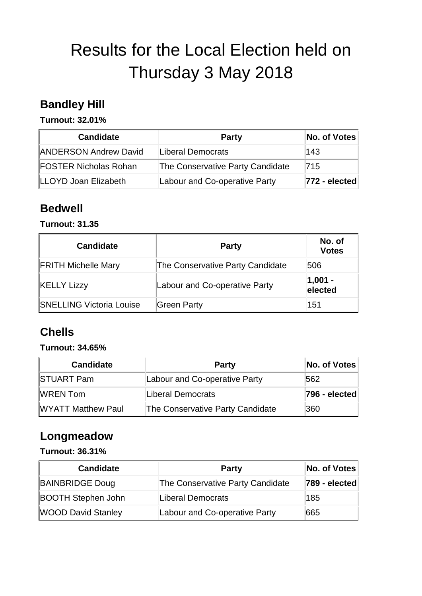# Results for the Local Election held on Thursday 3 May 2018

### **Bandley Hill**

**Turnout: 32.01%** 

| <b>Candidate</b>             | <b>Party</b>                     | No. of Votes  |
|------------------------------|----------------------------------|---------------|
| <b>ANDERSON Andrew David</b> | Liberal Democrats                | 143           |
| <b>FOSTER Nicholas Rohan</b> | The Conservative Party Candidate | 715           |
| <b>ILLOYD Joan Elizabeth</b> | Labour and Co-operative Party    | 772 - elected |

### **Bedwell**

#### **Turnout: 31.35**

| <b>Candidate</b>                | <b>Party</b>                     | No. of<br><b>Votes</b> |
|---------------------------------|----------------------------------|------------------------|
| <b>FRITH Michelle Mary</b>      | The Conservative Party Candidate | 506                    |
| <b>KELLY Lizzy</b>              | Labour and Co-operative Party    | $ 1,001 -$<br>elected  |
| <b>SNELLING Victoria Louise</b> | <b>Green Party</b>               | 151                    |

# **Chells**

#### **Turnout: 34.65%**

| <b>Candidate</b>          | <b>Party</b>                     | No. of Votes  |
|---------------------------|----------------------------------|---------------|
| <b>STUART Pam</b>         | Labour and Co-operative Party    | 562           |
| <b>WREN Tom</b>           | Liberal Democrats                | 796 - elected |
| <b>WYATT Matthew Paul</b> | The Conservative Party Candidate | 360           |

### **Longmeadow**

**Turnout: 36.31%** 

| <b>Candidate</b>          | <b>Party</b>                     | No. of Votes  |
|---------------------------|----------------------------------|---------------|
| <b>BAINBRIDGE Doug</b>    | The Conservative Party Candidate | 789 - elected |
| <b>BOOTH Stephen John</b> | Liberal Democrats                | 185           |
| <b>WOOD David Stanley</b> | Labour and Co-operative Party    | 665           |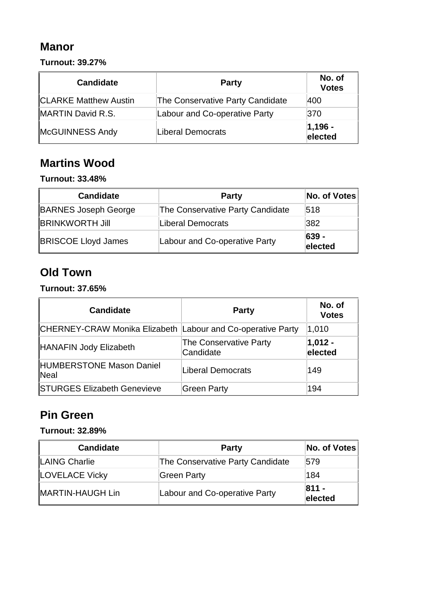### **Manor**

**Turnout: 39.27%** 

| <b>Candidate</b>             | <b>Party</b>                     | No. of<br><b>Votes</b> |
|------------------------------|----------------------------------|------------------------|
| <b>CLARKE Matthew Austin</b> | The Conservative Party Candidate | 400                    |
| MARTIN David R.S.            | Labour and Co-operative Party    | 370                    |
| McGUINNESS Andy              | Liberal Democrats                | $ 1,196 -$<br>elected  |

## **Martins Wood**

#### **Turnout: 33.48%**

| <b>Candidate</b>            | <b>Party</b>                     | No. of Votes     |
|-----------------------------|----------------------------------|------------------|
| <b>BARNES Joseph George</b> | The Conservative Party Candidate | 518              |
| <b>BRINKWORTH Jill</b>      | Liberal Democrats                | 382              |
| <b>BRISCOE Lloyd James</b>  | Labour and Co-operative Party    | 639 -<br>elected |

# **Old Town**

**Turnout: 37.65%** 

| <b>Candidate</b>                                            | <b>Party</b>                               | No. of<br><b>Votes</b> |
|-------------------------------------------------------------|--------------------------------------------|------------------------|
| CHERNEY-CRAW Monika Elizabeth Labour and Co-operative Party |                                            | 1,010                  |
| HANAFIN Jody Elizabeth                                      | <b>The Conservative Party</b><br>Candidate | $ 1,012 -$<br>elected  |
| <b>HUMBERSTONE Mason Daniel</b><br>Neal                     | Liberal Democrats                          | 149                    |
| <b>STURGES Elizabeth Genevieve</b>                          | Green Party                                | 194                    |

### **Pin Green**

#### **Turnout: 32.89%**

| <b>Candidate</b>      | <b>Party</b>                     | No. of Votes       |
|-----------------------|----------------------------------|--------------------|
| LAING Charlie         | The Conservative Party Candidate | 579                |
| <b>LOVELACE Vicky</b> | Green Party                      | 184                |
| MARTIN-HAUGH Lin      | Labour and Co-operative Party    | $811 -$<br>elected |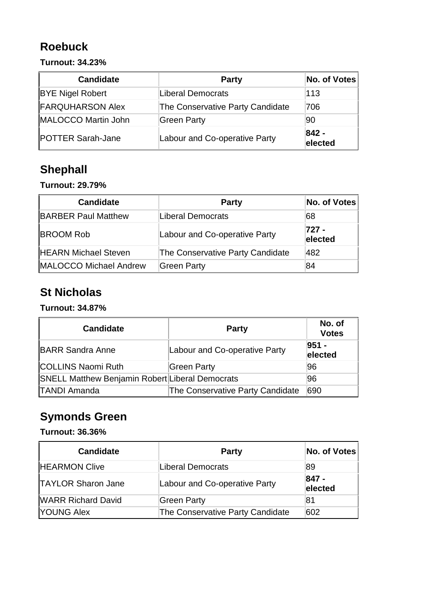# **Roebuck**

#### **Turnout: 34.23%**

| <b>Candidate</b>         | <b>Party</b>                     | No. of Votes       |
|--------------------------|----------------------------------|--------------------|
| <b>BYE Nigel Robert</b>  | Liberal Democrats                | 113                |
| <b>FARQUHARSON Alex</b>  | The Conservative Party Candidate | 706                |
| MALOCCO Martin John      | Green Party                      | 90                 |
| <b>POTTER Sarah-Jane</b> | Labour and Co-operative Party    | $842 -$<br>elected |

# **Shephall**

#### **Turnout: 29.79%**

| <b>Candidate</b>              | <b>Party</b>                     | No. of Votes     |
|-------------------------------|----------------------------------|------------------|
| <b>BARBER Paul Matthew</b>    | Liberal Democrats                | 68               |
| <b>BROOM Rob</b>              | Labour and Co-operative Party    | 727 -<br>elected |
| <b>HEARN Michael Steven</b>   | The Conservative Party Candidate | 482              |
| <b>MALOCCO Michael Andrew</b> | Green Party                      | 84               |

### **St Nicholas**

#### **Turnout: 34.87%**

| <b>Candidate</b>                                       | <b>Party</b>                     | No. of<br><b>Votes</b> |
|--------------------------------------------------------|----------------------------------|------------------------|
| <b>BARR Sandra Anne</b>                                | Labour and Co-operative Party    | $951 -$<br>elected     |
| <b>COLLINS Naomi Ruth</b>                              | Green Party                      | 96                     |
| <b>SNELL Matthew Benjamin Robert Liberal Democrats</b> |                                  | 96                     |
| <b>TANDI Amanda</b>                                    | The Conservative Party Candidate | 690                    |

# **Symonds Green**

#### **Turnout: 36.36%**

| <b>Candidate</b>          | <b>Party</b>                     | No. of Votes     |
|---------------------------|----------------------------------|------------------|
| <b>HEARMON Clive</b>      | Liberal Democrats                | 89               |
| <b>TAYLOR Sharon Jane</b> | Labour and Co-operative Party    | 847 -<br>elected |
| <b>WARR Richard David</b> | Green Party                      | 81               |
| YOUNG Alex                | The Conservative Party Candidate | 602              |